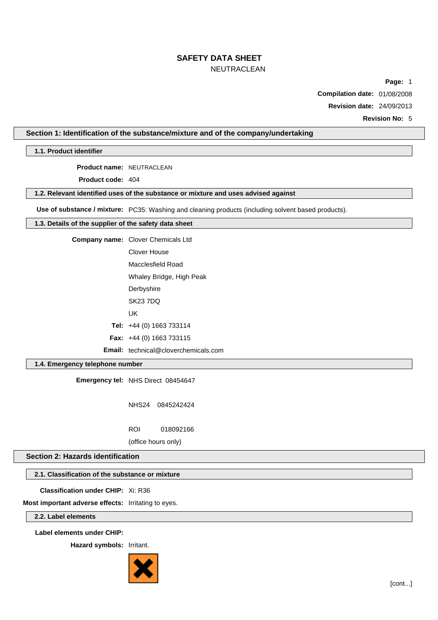# **SAFETY DATA SHEET**

### NEUTRACLEAN

**Page:** 1

**Compilation date:** 01/08/2008

**Revision date:** 24/09/2013

**Revision No:** 5

### **Section 1: Identification of the substance/mixture and of the company/undertaking**

**1.1. Product identifier**

**Product name:** NEUTRACLEAN

**Product code:** 404

### **1.2. Relevant identified uses of the substance or mixture and uses advised against**

**Use of substance / mixture:** PC35: Washing and cleaning products (including solvent based products).

### **1.3. Details of the supplier of the safety data sheet**

**Company name:** Clover Chemicals Ltd

Clover House Macclesfield Road

Whaley Bridge, High Peak

- **Derbyshire**
- SK23 7DQ
- UK

**Tel:** +44 (0) 1663 733114

**Fax:** +44 (0) 1663 733115

**Email:** technical@cloverchemicals.com

### **1.4. Emergency telephone number**

**Emergency tel:** NHS Direct 08454647

NHS24 0845242424

ROI 018092166

(office hours only)

### **Section 2: Hazards identification**

### **2.1. Classification of the substance or mixture**

**Classification under CHIP:** Xi: R36

**Most important adverse effects:** Irritating to eyes.

**2.2. Label elements**

**Label elements under CHIP:**

**Hazard symbols:** Irritant.

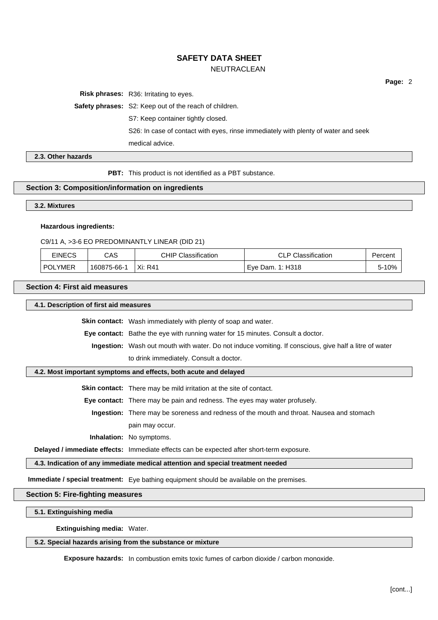**Risk phrases:** R36: Irritating to eyes.

**Safety phrases:** S2: Keep out of the reach of children.

S7: Keep container tightly closed.

S26: In case of contact with eyes, rinse immediately with plenty of water and seek

medical advice.

**2.3. Other hazards**

**PBT:** This product is not identified as a PBT substance.

### **Section 3: Composition/information on ingredients**

**3.2. Mixtures**

#### **Hazardous ingredients:**

C9/11 A, >3-6 EO PREDOMINANTLY LINEAR (DID 21)

| <b>EINECS</b>  | CAS         | Classification<br>CHIP∍ | <b>CLP Classification</b> | Percent |
|----------------|-------------|-------------------------|---------------------------|---------|
| <b>POLYMER</b> | 160875-66-1 | Xi: R41                 | Eve Dam. 1: H318          | 10%     |

**Section 4: First aid measures**

**4.1. Description of first aid measures**

**Skin contact:** Wash immediately with plenty of soap and water.

**Eye contact:** Bathe the eye with running water for 15 minutes. Consult a doctor.

**Ingestion:** Wash out mouth with water. Do not induce vomiting. If conscious, give half a litre of water to drink immediately. Consult a doctor.

#### **4.2. Most important symptoms and effects, both acute and delayed**

**Skin contact:** There may be mild irritation at the site of contact.

**Eye contact:** There may be pain and redness. The eyes may water profusely.

**Ingestion:** There may be soreness and redness of the mouth and throat. Nausea and stomach pain may occur.

**Inhalation:** No symptoms.

**Delayed / immediate effects:** Immediate effects can be expected after short-term exposure.

**4.3. Indication of any immediate medical attention and special treatment needed**

**Immediate / special treatment:** Eye bathing equipment should be available on the premises.

### **Section 5: Fire-fighting measures**

**5.1. Extinguishing media**

**Extinguishing media:** Water.

**5.2. Special hazards arising from the substance or mixture**

**Exposure hazards:** In combustion emits toxic fumes of carbon dioxide / carbon monoxide.

**Page:** 2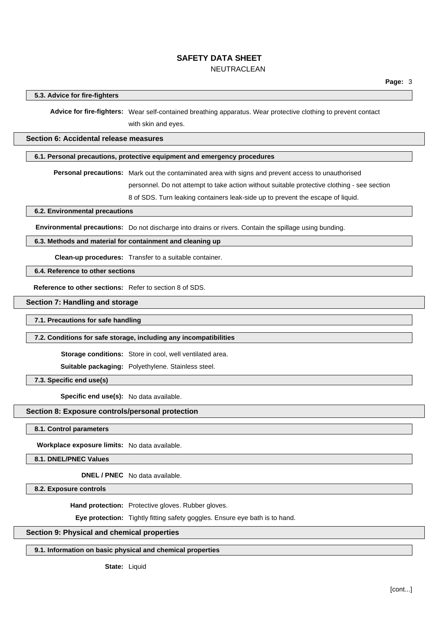### **5.3. Advice for fire-fighters**

**Advice for fire-fighters:** Wear self-contained breathing apparatus. Wear protective clothing to prevent contact with skin and eyes.

### **Section 6: Accidental release measures**

### **6.1. Personal precautions, protective equipment and emergency procedures**

**Personal precautions:** Mark out the contaminated area with signs and prevent access to unauthorised

personnel. Do not attempt to take action without suitable protective clothing - see section

8 of SDS. Turn leaking containers leak-side up to prevent the escape of liquid.

**6.2. Environmental precautions**

**Environmental precautions:** Do not discharge into drains or rivers. Contain the spillage using bunding.

### **6.3. Methods and material for containment and cleaning up**

**Clean-up procedures:** Transfer to a suitable container.

**6.4. Reference to other sections**

**Reference to other sections:** Refer to section 8 of SDS.

### **Section 7: Handling and storage**

**7.1. Precautions for safe handling**

#### **7.2. Conditions for safe storage, including any incompatibilities**

**Storage conditions:** Store in cool, well ventilated area.

**Suitable packaging:** Polyethylene. Stainless steel.

**7.3. Specific end use(s)**

**Specific end use(s):** No data available.

### **Section 8: Exposure controls/personal protection**

**8.1. Control parameters**

**Workplace exposure limits:** No data available.

**8.1. DNEL/PNEC Values**

**DNEL / PNEC** No data available.

**8.2. Exposure controls**

**Hand protection:** Protective gloves. Rubber gloves.

**Eye protection:** Tightly fitting safety goggles. Ensure eye bath is to hand.

### **Section 9: Physical and chemical properties**

### **9.1. Information on basic physical and chemical properties**

**State:** Liquid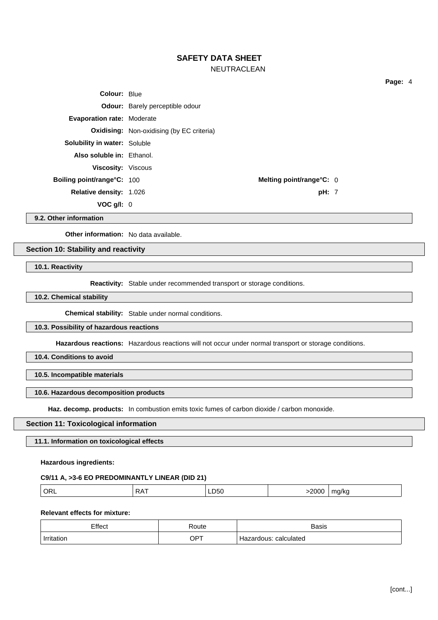### **SAFETY DATA SHEET**

### NEUTRACLEAN

| Colour: Blue                        |                                                  |  |
|-------------------------------------|--------------------------------------------------|--|
|                                     | <b>Odour:</b> Barely perceptible odour           |  |
| <b>Evaporation rate: Moderate</b>   |                                                  |  |
|                                     | <b>Oxidising:</b> Non-oxidising (by EC criteria) |  |
| <b>Solubility in water: Soluble</b> |                                                  |  |
| Also soluble in: Ethanol.           |                                                  |  |
| <b>Viscosity: Viscous</b>           |                                                  |  |
| <b>Boiling point/range°C: 100</b>   | Melting point/range $C: 0$                       |  |
| <b>Relative density: 1.026</b>      | pH: 7                                            |  |
| VOC q/l: 0                          |                                                  |  |

**9.2. Other information**

**Other information:** No data available.

**Section 10: Stability and reactivity**

**10.1. Reactivity**

**Reactivity:** Stable under recommended transport or storage conditions.

**10.2. Chemical stability**

**Chemical stability:** Stable under normal conditions.

### **10.3. Possibility of hazardous reactions**

**Hazardous reactions:** Hazardous reactions will not occur under normal transport or storage conditions.

**10.4. Conditions to avoid**

**10.5. Incompatible materials**

### **10.6. Hazardous decomposition products**

**Haz. decomp. products:** In combustion emits toxic fumes of carbon dioxide / carbon monoxide.

### **Section 11: Toxicological information**

**11.1. Information on toxicological effects**

**Hazardous ingredients:**

### **C9/11 A, >3-6 EO PREDOMINANTLY LINEAR (DID 21)**

| OR.<br>∍∧<br>.1/k <sub>C</sub><br>-non<br>$\sim$<br><br>.<br>$ -$<br>. . |
|--------------------------------------------------------------------------|
|--------------------------------------------------------------------------|

### **Relevant effects for mixture:**

| Effect     | ∢oute           | <b>Basis</b>              |
|------------|-----------------|---------------------------|
| Irritation | OP <sup>T</sup> | calculated<br>-lazardous: |

**Page:** 4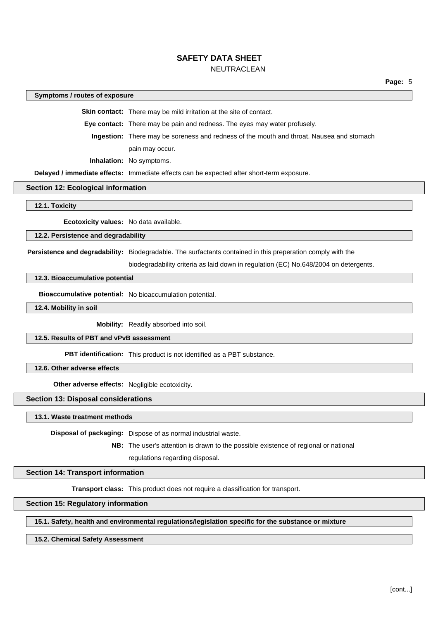#### **Symptoms / routes of exposure**

**Skin contact:** There may be mild irritation at the site of contact.

**Eye contact:** There may be pain and redness. The eyes may water profusely.

**Ingestion:** There may be soreness and redness of the mouth and throat. Nausea and stomach pain may occur.

**Inhalation:** No symptoms.

**Delayed / immediate effects:** Immediate effects can be expected after short-term exposure.

#### **Section 12: Ecological information**

**12.1. Toxicity**

**Ecotoxicity values:** No data available.

**12.2. Persistence and degradability**

**Persistence and degradability:** Biodegradable. The surfactants contained in this preperation comply with the

biodegradability criteria as laid down in regulation (EC) No.648/2004 on detergents.

### **12.3. Bioaccumulative potential**

**Bioaccumulative potential:** No bioaccumulation potential.

**12.4. Mobility in soil**

**Mobility:** Readily absorbed into soil.

#### **12.5. Results of PBT and vPvB assessment**

**PBT identification:** This product is not identified as a PBT substance.

**12.6. Other adverse effects**

**Other adverse effects:** Negligible ecotoxicity.

### **Section 13: Disposal considerations**

#### **13.1. Waste treatment methods**

**Disposal of packaging:** Dispose of as normal industrial waste.

**NB:** The user's attention is drawn to the possible existence of regional or national regulations regarding disposal.

### **Section 14: Transport information**

**Transport class:** This product does not require a classification for transport.

#### **Section 15: Regulatory information**

### **15.1. Safety, health and environmental regulations/legislation specific for the substance or mixture**

#### **15.2. Chemical Safety Assessment**